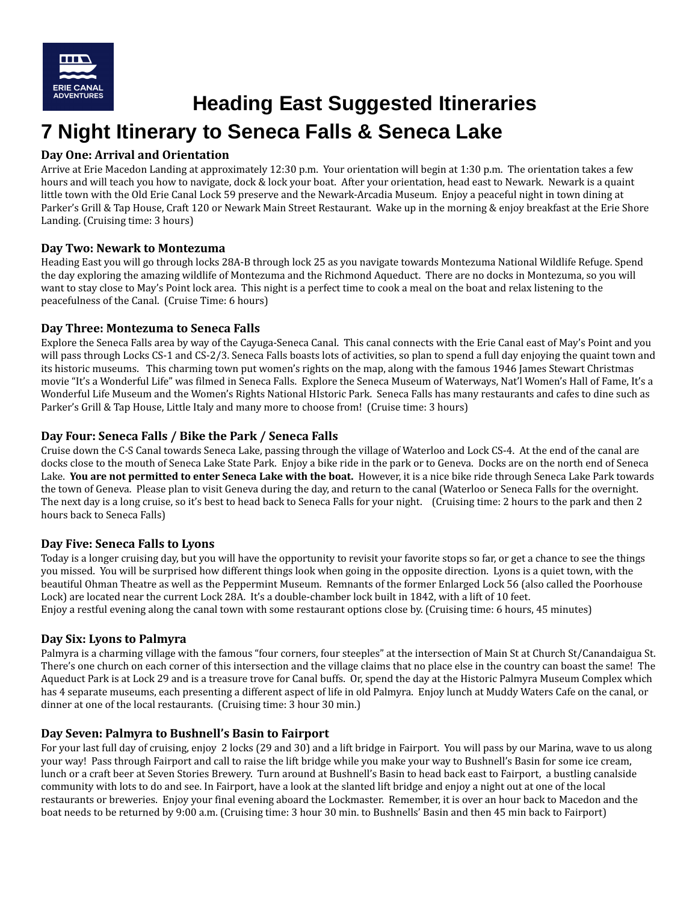

**Heading East Suggested Itineraries**

# **7 Night Itinerary to Seneca Falls & Seneca Lake**

# **Day One: Arrival and Orientation**

Arrive at Erie Macedon Landing at approximately 12:30 p.m. Your orientation will begin at 1:30 p.m. The orientation takes a few hours and will teach you how to navigate, dock & lock your boat. After your orientation, head east to Newark. Newark is a quaint little town with the Old Erie Canal Lock 59 preserve and the Newark-Arcadia Museum. Enjoy a peaceful night in town dining at Parker's Grill & Tap House, Craft 120 or Newark Main Street Restaurant. Wake up in the morning & enjoy breakfast at the Erie Shore Landing. (Cruising time: 3 hours)

# **Day Two: Newark to Montezuma**

Heading East you will go through locks 28A-B through lock 25 as you navigate towards Montezuma National Wildlife Refuge. Spend the day exploring the amazing wildlife of Montezuma and the Richmond Aqueduct. There are no docks in Montezuma, so you will want to stay close to May's Point lock area. This night is a perfect time to cook a meal on the boat and relax listening to the peacefulness of the Canal. (Cruise Time: 6 hours)

### **Day Three: Montezuma to Seneca Falls**

Explore the Seneca Falls area by way of the Cayuga-Seneca Canal. This canal connects with the Erie Canal east of May's Point and you will pass through Locks CS-1 and CS-2/3. Seneca Falls boasts lots of activities, so plan to spend a full day enjoying the quaint town and its historic museums. This charming town put women's rights on the map, along with the famous 1946 James Stewart Christmas movie "It's a Wonderful Life" was filmed in Seneca Falls. Explore the Seneca Museum of Waterways, Nat'l Women's Hall of Fame, It's a Wonderful Life Museum and the Women's Rights National HIstoric Park. Seneca Falls has many restaurants and cafes to dine such as Parker's Grill & Tap House, Little Italy and many more to choose from! (Cruise time: 3 hours)

# **Day Four: Seneca Falls / Bike the Park / Seneca Falls**

Cruise down the C-S Canal towards Seneca Lake, passing through the village of Waterloo and Lock CS-4. At the end of the canal are docks close to the mouth of Seneca Lake State Park. Enjoy a bike ride in the park or to Geneva. Docks are on the north end of Seneca Lake. **You are not permitted to enter Seneca Lake with the boat.** However, it is a nice bike ride through Seneca Lake Park towards the town of Geneva. Please plan to visit Geneva during the day, and return to the canal (Waterloo or Seneca Falls for the overnight. The next day is a long cruise, so it's best to head back to Seneca Falls for your night. (Cruising time: 2 hours to the park and then 2 hours back to Seneca Falls)

### **Day Five: Seneca Falls to Lyons**

Today is a longer cruising day, but you will have the opportunity to revisit your favorite stops so far, or get a chance to see the things you missed. You will be surprised how different things look when going in the opposite direction. Lyons is a quiet town, with the beautiful Ohman Theatre as well as the Peppermint Museum. Remnants of the former Enlarged Lock 56 (also called the Poorhouse Lock) are located near the current Lock 28A. It's a double-chamber lock built in 1842, with a lift of 10 feet. Enjoy a restful evening along the canal town with some restaurant options close by. (Cruising time: 6 hours, 45 minutes)

### **Day Six: Lyons to Palmyra**

Palmyra is a charming village with the famous "four corners, four steeples" at the intersection of Main St at Church St/Canandaigua St. There's one church on each corner of this intersection and the village claims that no place else in the country can boast the same! The Aqueduct Park is at Lock 29 and is a treasure trove for Canal buffs. Or, spend the day at the Historic Palmyra Museum Complex which has 4 separate museums, each presenting a different aspect of life in old Palmyra. Enjoy lunch at Muddy Waters Cafe on the canal, or dinner at one of the local restaurants. (Cruising time: 3 hour 30 min.)

# **Day Seven: Palmyra to Bushnell's Basin to Fairport**

For your last full day of cruising, enjoy 2 locks (29 and 30) and a lift bridge in Fairport. You will pass by our Marina, wave to us along your way! Pass through Fairport and call to raise the lift bridge while you make your way to Bushnell's Basin for some ice cream, lunch or a craft beer at Seven Stories Brewery. Turn around at Bushnell's Basin to head back east to Fairport, a bustling canalside community with lots to do and see. In Fairport, have a look at the slanted lift bridge and enjoy a night out at one of the local restaurants or breweries. Enjoy your final evening aboard the Lockmaster. Remember, it is over an hour back to Macedon and the boat needs to be returned by 9:00 a.m. (Cruising time: 3 hour 30 min. to Bushnells' Basin and then 45 min back to Fairport)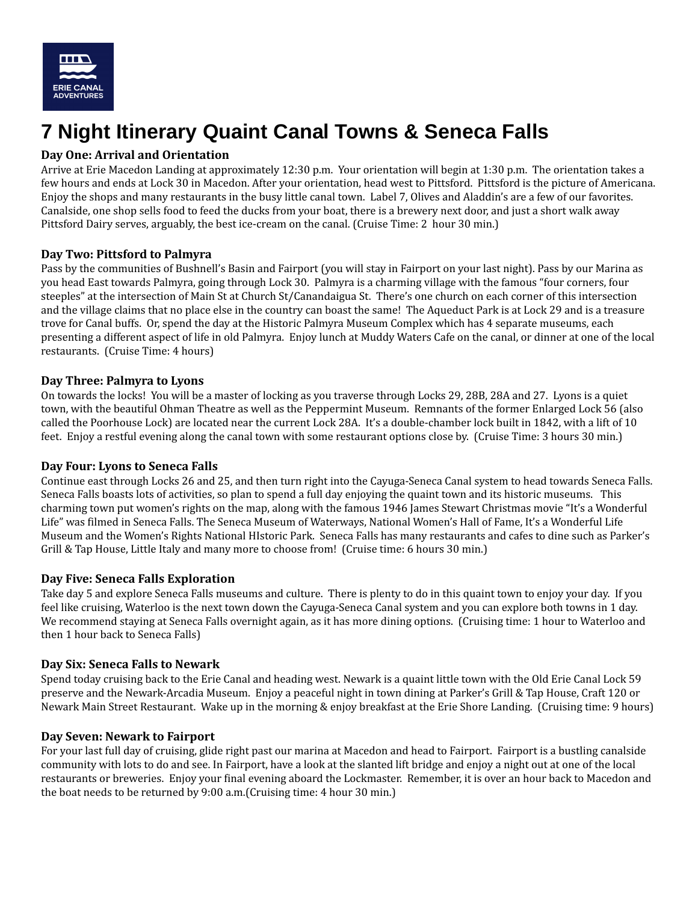

# **7 Night Itinerary Quaint Canal Towns & Seneca Falls**

# **Day One: Arrival and Orientation**

Arrive at Erie Macedon Landing at approximately 12:30 p.m. Your orientation will begin at 1:30 p.m. The orientation takes a few hours and ends at Lock 30 in Macedon. After your orientation, head west to Pittsford. Pittsford is the picture of Americana. Enjoy the shops and many restaurants in the busy little canal town. Label 7, Olives and Aladdin's are a few of our favorites. Canalside, one shop sells food to feed the ducks from your boat, there is a brewery next door, and just a short walk away Pittsford Dairy serves, arguably, the best ice-cream on the canal. (Cruise Time: 2 hour 30 min.)

# **Day Two: Pittsford to Palmyra**

Pass by the communities of Bushnell's Basin and Fairport (you will stay in Fairport on your last night). Pass by our Marina as you head East towards Palmyra, going through Lock 30. Palmyra is a charming village with the famous "four corners, four steeples" at the intersection of Main St at Church St/Canandaigua St. There's one church on each corner of this intersection and the village claims that no place else in the country can boast the same! The Aqueduct Park is at Lock 29 and is a treasure trove for Canal buffs. Or, spend the day at the Historic Palmyra Museum Complex which has 4 separate museums, each presenting a different aspect of life in old Palmyra. Enjoy lunch at Muddy Waters Cafe on the canal, or dinner at one of the local restaurants. (Cruise Time: 4 hours)

### **Day Three: Palmyra to Lyons**

On towards the locks! You will be a master of locking as you traverse through Locks 29, 28B, 28A and 27. Lyons is a quiet town, with the beautiful Ohman Theatre as well as the Peppermint Museum. Remnants of the former Enlarged Lock 56 (also called the Poorhouse Lock) are located near the current Lock 28A. It's a double-chamber lock built in 1842, with a lift of 10 feet. Enjoy a restful evening along the canal town with some restaurant options close by. (Cruise Time: 3 hours 30 min.)

### **Day Four: Lyons to Seneca Falls**

Continue east through Locks 26 and 25, and then turn right into the Cayuga-Seneca Canal system to head towards Seneca Falls. Seneca Falls boasts lots of activities, so plan to spend a full day enjoying the quaint town and its historic museums. This charming town put women's rights on the map, along with the famous 1946 James Stewart Christmas movie "It's a Wonderful Life" was filmed in Seneca Falls. The Seneca Museum of Waterways, National Women's Hall of Fame, It's a Wonderful Life Museum and the Women's Rights National HIstoric Park. Seneca Falls has many restaurants and cafes to dine such as Parker's Grill & Tap House, Little Italy and many more to choose from! (Cruise time: 6 hours 30 min.)

### **Day Five: Seneca Falls Exploration**

Take day 5 and explore Seneca Falls museums and culture. There is plenty to do in this quaint town to enjoy your day. If you feel like cruising, Waterloo is the next town down the Cayuga-Seneca Canal system and you can explore both towns in 1 day. We recommend staying at Seneca Falls overnight again, as it has more dining options. (Cruising time: 1 hour to Waterloo and then 1 hour back to Seneca Falls)

### **Day Six: Seneca Falls to Newark**

Spend today cruising back to the Erie Canal and heading west. Newark is a quaint little town with the Old Erie Canal Lock 59 preserve and the Newark-Arcadia Museum. Enjoy a peaceful night in town dining at Parker's Grill & Tap House, Craft 120 or Newark Main Street Restaurant. Wake up in the morning & enjoy breakfast at the Erie Shore Landing. (Cruising time: 9 hours)

### **Day Seven: Newark to Fairport**

For your last full day of cruising, glide right past our marina at Macedon and head to Fairport. Fairport is a bustling canalside community with lots to do and see. In Fairport, have a look at the slanted lift bridge and enjoy a night out at one of the local restaurants or breweries. Enjoy your final evening aboard the Lockmaster. Remember, it is over an hour back to Macedon and the boat needs to be returned by 9:00 a.m.(Cruising time: 4 hour 30 min.)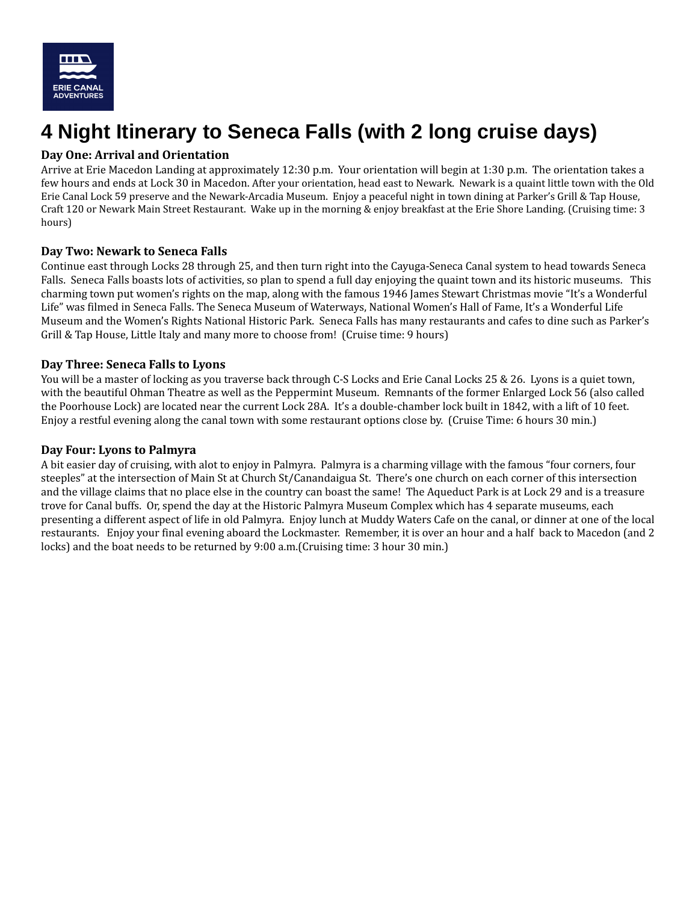

# **4 Night Itinerary to Seneca Falls (with 2 long cruise days)**

# **Day One: Arrival and Orientation**

Arrive at Erie Macedon Landing at approximately 12:30 p.m. Your orientation will begin at 1:30 p.m. The orientation takes a few hours and ends at Lock 30 in Macedon. After your orientation, head east to Newark. Newark is a quaint little town with the Old Erie Canal Lock 59 preserve and the Newark-Arcadia Museum. Enjoy a peaceful night in town dining at Parker's Grill & Tap House, Craft 120 or Newark Main Street Restaurant. Wake up in the morning & enjoy breakfast at the Erie Shore Landing. (Cruising time: 3 hours)

# **Day Two: Newark to Seneca Falls**

Continue east through Locks 28 through 25, and then turn right into the Cayuga-Seneca Canal system to head towards Seneca Falls. Seneca Falls boasts lots of activities, so plan to spend a full day enjoying the quaint town and its historic museums. This charming town put women's rights on the map, along with the famous 1946 James Stewart Christmas movie "It's a Wonderful Life" was filmed in Seneca Falls. The Seneca Museum of Waterways, National Women's Hall of Fame, It's a Wonderful Life Museum and the Women's Rights National Historic Park. Seneca Falls has many restaurants and cafes to dine such as Parker's Grill & Tap House, Little Italy and many more to choose from! (Cruise time: 9 hours)

# **Day Three: Seneca Falls to Lyons**

You will be a master of locking as you traverse back through C-S Locks and Erie Canal Locks 25 & 26. Lyons is a quiet town, with the beautiful Ohman Theatre as well as the Peppermint Museum. Remnants of the former Enlarged Lock 56 (also called the Poorhouse Lock) are located near the current Lock 28A. It's a double-chamber lock built in 1842, with a lift of 10 feet. Enjoy a restful evening along the canal town with some restaurant options close by. (Cruise Time: 6 hours 30 min.)

#### **Day Four: Lyons to Palmyra**

A bit easier day of cruising, with alot to enjoy in Palmyra. Palmyra is a charming village with the famous "four corners, four steeples" at the intersection of Main St at Church St/Canandaigua St. There's one church on each corner of this intersection and the village claims that no place else in the country can boast the same! The Aqueduct Park is at Lock 29 and is a treasure trove for Canal buffs. Or, spend the day at the Historic Palmyra Museum Complex which has 4 separate museums, each presenting a different aspect of life in old Palmyra. Enjoy lunch at Muddy Waters Cafe on the canal, or dinner at one of the local restaurants. Enjoy your final evening aboard the Lockmaster. Remember, it is over an hour and a half back to Macedon (and 2 locks) and the boat needs to be returned by 9:00 a.m.(Cruising time: 3 hour 30 min.)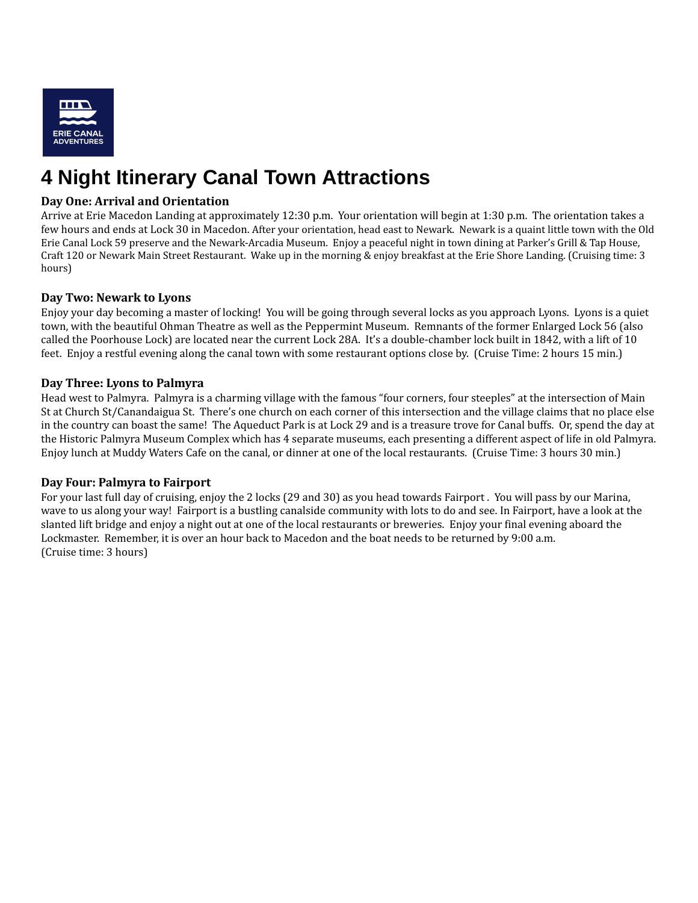

# **4 Night Itinerary Canal Town Attractions**

### **Day One: Arrival and Orientation**

Arrive at Erie Macedon Landing at approximately 12:30 p.m. Your orientation will begin at 1:30 p.m. The orientation takes a few hours and ends at Lock 30 in Macedon. After your orientation, head east to Newark. Newark is a quaint little town with the Old Erie Canal Lock 59 preserve and the Newark-Arcadia Museum. Enjoy a peaceful night in town dining at Parker's Grill & Tap House, Craft 120 or Newark Main Street Restaurant. Wake up in the morning & enjoy breakfast at the Erie Shore Landing. (Cruising time: 3 hours)

### **Day Two: Newark to Lyons**

Enjoy your day becoming a master of locking! You will be going through several locks as you approach Lyons. Lyons is a quiet town, with the beautiful Ohman Theatre as well as the Peppermint Museum. Remnants of the former Enlarged Lock 56 (also called the Poorhouse Lock) are located near the current Lock 28A. It's a double-chamber lock built in 1842, with a lift of 10 feet. Enjoy a restful evening along the canal town with some restaurant options close by. (Cruise Time: 2 hours 15 min.)

#### **Day Three: Lyons to Palmyra**

Head west to Palmyra. Palmyra is a charming village with the famous "four corners, four steeples" at the intersection of Main St at Church St/Canandaigua St. There's one church on each corner of this intersection and the village claims that no place else in the country can boast the same! The Aqueduct Park is at Lock 29 and is a treasure trove for Canal buffs. Or, spend the day at the Historic Palmyra Museum Complex which has 4 separate museums, each presenting a different aspect of life in old Palmyra. Enjoy lunch at Muddy Waters Cafe on the canal, or dinner at one of the local restaurants. (Cruise Time: 3 hours 30 min.)

#### **Day Four: Palmyra to Fairport**

For your last full day of cruising, enjoy the 2 locks (29 and 30) as you head towards Fairport . You will pass by our Marina, wave to us along your way! Fairport is a bustling canalside community with lots to do and see. In Fairport, have a look at the slanted lift bridge and enjoy a night out at one of the local restaurants or breweries. Enjoy your final evening aboard the Lockmaster. Remember, it is over an hour back to Macedon and the boat needs to be returned by 9:00 a.m. (Cruise time: 3 hours)